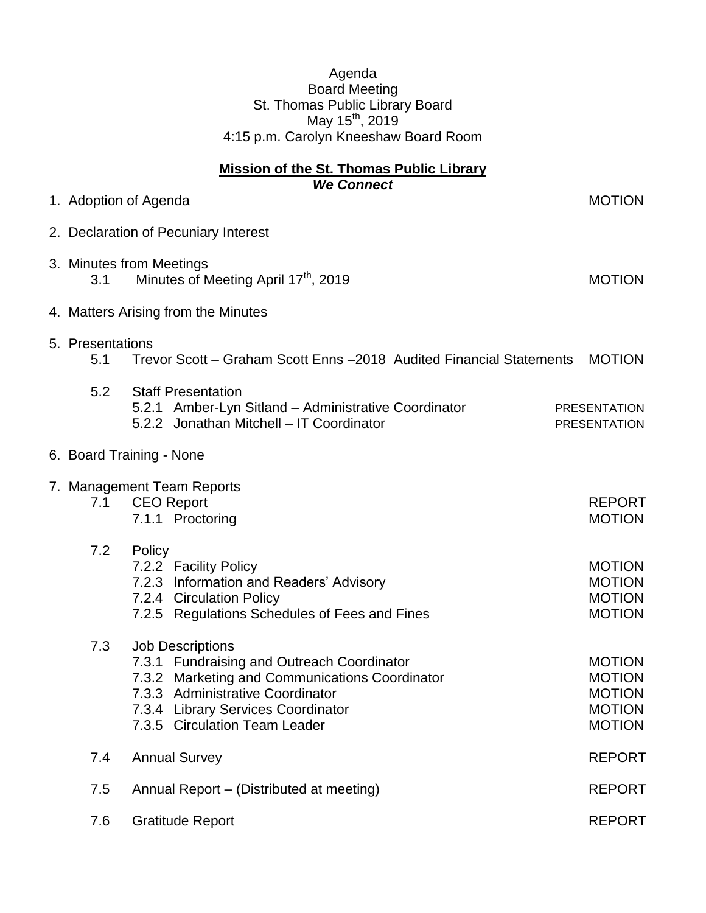**Mission of the St. Thomas Public Library** *We Connect* 1. Adoption of Agenda MOTION 2. Declaration of Pecuniary Interest 3. Minutes from Meetings 3.1 Minutes of Meeting April 17<sup>th</sup>, 2019 MOTION 4. Matters Arising from the Minutes 5. Presentations 5.1 Trevor Scott – Graham Scott Enns –2018 Audited Financial Statements MOTION 5.2 Staff Presentation 5.2.1 Amber-Lyn Sitland – Administrative Coordinator PRESENTATION 5.2.2 Jonathan Mitchell – IT Coordinator **PRESENTATION** 6. Board Training - None 7. Management Team Reports 7.1 CEO Report **REPORT** 7.1.1 Proctoring MOTION 7.2 Policy 7.2.2 Facility Policy and The Contract of the MOTION MOTION 7.2.3 Information and Readers' Advisory MOTION 7.2.4 Circulation Policy **MOTION** 7.2.5 Regulations Schedules of Fees and Fines MOTION 7.3 Job Descriptions 7.3.1 Fundraising and Outreach Coordinator MOTION 7.3.2 Marketing and Communications Coordinator MOTION 7.3.3 Administrative Coordinator MOTION 7.3.4 Library Services Coordinator MOTION 7.3.5 Circulation Team Leader MOTION 7.4 Annual Survey **REPORT** 7.5 Annual Report – (Distributed at meeting) REPORT 7.6 Gratitude Report **REPORT**